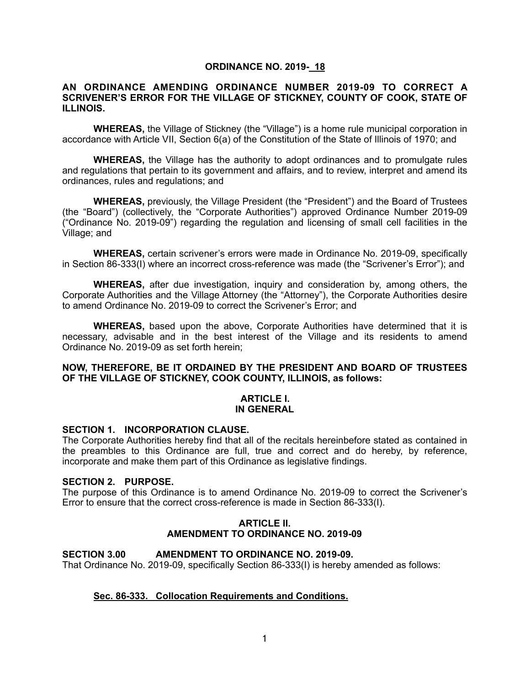# **ORDINANCE NO. 2019- 18**

### **AN ORDINANCE AMENDING ORDINANCE NUMBER 2019-09 TO CORRECT A SCRIVENER'S ERROR FOR THE VILLAGE OF STICKNEY, COUNTY OF COOK, STATE OF ILLINOIS.**

**WHEREAS,** the Village of Stickney (the "Village") is a home rule municipal corporation in accordance with Article VII, Section 6(a) of the Constitution of the State of Illinois of 1970; and

**WHEREAS,** the Village has the authority to adopt ordinances and to promulgate rules and regulations that pertain to its government and affairs, and to review, interpret and amend its ordinances, rules and regulations; and

**WHEREAS,** previously, the Village President (the "President") and the Board of Trustees (the "Board") (collectively, the "Corporate Authorities") approved Ordinance Number 2019-09 ("Ordinance No. 2019-09") regarding the regulation and licensing of small cell facilities in the Village; and

**WHEREAS,** certain scrivener's errors were made in Ordinance No. 2019-09, specifically in Section 86-333(I) where an incorrect cross-reference was made (the "Scrivener's Error"); and

**WHEREAS,** after due investigation, inquiry and consideration by, among others, the Corporate Authorities and the Village Attorney (the "Attorney"), the Corporate Authorities desire to amend Ordinance No. 2019-09 to correct the Scrivener's Error; and

**WHEREAS,** based upon the above, Corporate Authorities have determined that it is necessary, advisable and in the best interest of the Village and its residents to amend Ordinance No. 2019-09 as set forth herein;

# **NOW, THEREFORE, BE IT ORDAINED BY THE PRESIDENT AND BOARD OF TRUSTEES OF THE VILLAGE OF STICKNEY, COOK COUNTY, ILLINOIS, as follows:**

#### **ARTICLE I. IN GENERAL**

#### **SECTION 1. INCORPORATION CLAUSE.**

The Corporate Authorities hereby find that all of the recitals hereinbefore stated as contained in the preambles to this Ordinance are full, true and correct and do hereby, by reference, incorporate and make them part of this Ordinance as legislative findings.

### **SECTION 2. PURPOSE.**

The purpose of this Ordinance is to amend Ordinance No. 2019-09 to correct the Scrivener's Error to ensure that the correct cross-reference is made in Section 86-333(I).

### **ARTICLE II. AMENDMENT TO ORDINANCE NO. 2019-09**

#### **SECTION 3.00 AMENDMENT TO ORDINANCE NO. 2019-09.**

That Ordinance No. 2019-09, specifically Section 86-333(I) is hereby amended as follows:

# **Sec. 86-333. Collocation Requirements and Conditions.**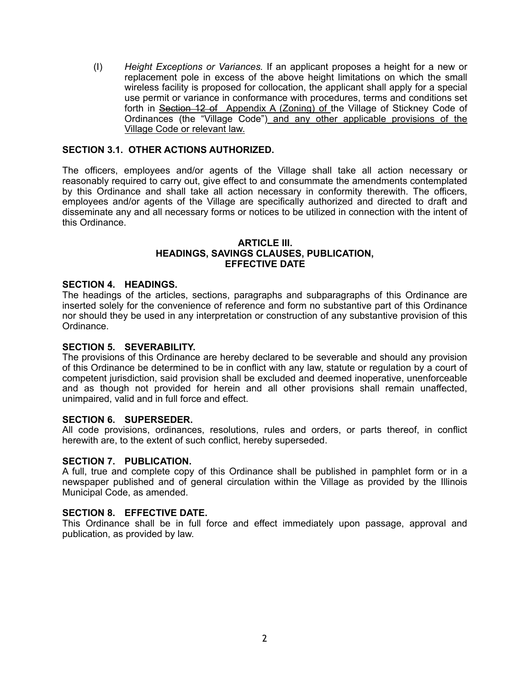(I) *Height Exceptions or Variances.* If an applicant proposes a height for a new or replacement pole in excess of the above height limitations on which the small wireless facility is proposed for collocation, the applicant shall apply for a special use permit or variance in conformance with procedures, terms and conditions set forth in Section 12 of Appendix A (Zoning) of the Village of Stickney Code of Ordinances (the "Village Code") and any other applicable provisions of the Village Code or relevant law.

# **SECTION 3.1. OTHER ACTIONS AUTHORIZED.**

The officers, employees and/or agents of the Village shall take all action necessary or reasonably required to carry out, give effect to and consummate the amendments contemplated by this Ordinance and shall take all action necessary in conformity therewith. The officers, employees and/or agents of the Village are specifically authorized and directed to draft and disseminate any and all necessary forms or notices to be utilized in connection with the intent of this Ordinance.

# **ARTICLE III. HEADINGS, SAVINGS CLAUSES, PUBLICATION, EFFECTIVE DATE**

### **SECTION 4. HEADINGS.**

The headings of the articles, sections, paragraphs and subparagraphs of this Ordinance are inserted solely for the convenience of reference and form no substantive part of this Ordinance nor should they be used in any interpretation or construction of any substantive provision of this Ordinance.

### **SECTION 5. SEVERABILITY.**

The provisions of this Ordinance are hereby declared to be severable and should any provision of this Ordinance be determined to be in conflict with any law, statute or regulation by a court of competent jurisdiction, said provision shall be excluded and deemed inoperative, unenforceable and as though not provided for herein and all other provisions shall remain unaffected, unimpaired, valid and in full force and effect.

# **SECTION 6. SUPERSEDER.**

All code provisions, ordinances, resolutions, rules and orders, or parts thereof, in conflict herewith are, to the extent of such conflict, hereby superseded.

#### **SECTION 7. PUBLICATION.**

A full, true and complete copy of this Ordinance shall be published in pamphlet form or in a newspaper published and of general circulation within the Village as provided by the Illinois Municipal Code, as amended.

#### **SECTION 8. EFFECTIVE DATE.**

This Ordinance shall be in full force and effect immediately upon passage, approval and publication, as provided by law.